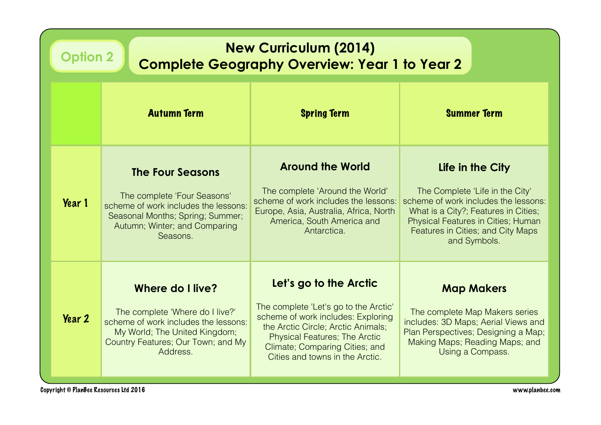| <b>New Curriculum (2014)</b><br><b>Option 2</b><br><b>Complete Geography Overview: Year 1 to Year 2</b> |                                                                                                                                                                                       |                                                                                                                                                                                                                                                          |                                                                                                                                                                                                                                       |  |
|---------------------------------------------------------------------------------------------------------|---------------------------------------------------------------------------------------------------------------------------------------------------------------------------------------|----------------------------------------------------------------------------------------------------------------------------------------------------------------------------------------------------------------------------------------------------------|---------------------------------------------------------------------------------------------------------------------------------------------------------------------------------------------------------------------------------------|--|
|                                                                                                         | <b>Autumn Term</b>                                                                                                                                                                    | <b>Spring Term</b>                                                                                                                                                                                                                                       | <b>Summer Term</b>                                                                                                                                                                                                                    |  |
| Year 1                                                                                                  | <b>The Four Seasons</b><br>The complete 'Four Seasons'<br>scheme of work includes the lessons:<br>Seasonal Months; Spring; Summer;<br>Autumn; Winter; and Comparing<br>Seasons.       | <b>Around the World</b><br>The complete 'Around the World'<br>scheme of work includes the lessons:<br>Europe, Asia, Australia, Africa, North<br>America, South America and<br>Antarctica.                                                                | Life in the City<br>The Complete 'Life in the City'<br>scheme of work includes the lessons:<br>What is a City?; Features in Cities;<br><b>Physical Features in Cities; Human</b><br>Features in Cities; and City Maps<br>and Symbols. |  |
| <b>Year 2</b>                                                                                           | <b>Where do I live?</b><br>The complete 'Where do I live?'<br>scheme of work includes the lessons:<br>My World; The United Kingdom;<br>Country Features; Our Town; and My<br>Address. | Let's go to the Arctic<br>The complete 'Let's go to the Arctic'<br>scheme of work includes: Exploring<br>the Arctic Circle; Arctic Animals;<br><b>Physical Features; The Arctic</b><br>Climate; Comparing Cities; and<br>Cities and towns in the Arctic. | <b>Map Makers</b><br>The complete Map Makers series<br>includes: 3D Maps; Aerial Views and<br>Plan Perspectives; Designing a Map;<br>Making Maps; Reading Maps; and<br>Using a Compass.                                               |  |